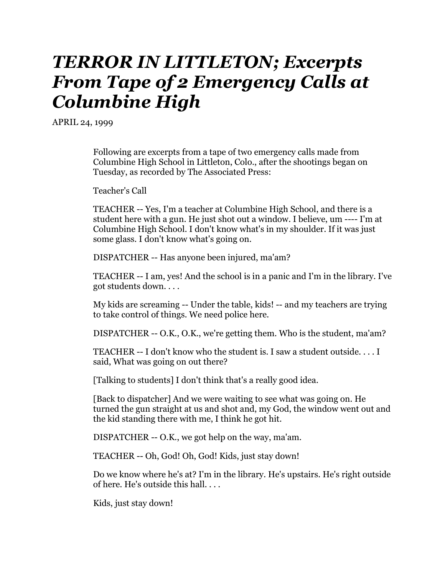## *TERROR IN LITTLETON; Excerpts From Tape of 2 Emergency Calls at Columbine High*

APRIL 24, 1999

Following are excerpts from a tape of two emergency calls made from Columbine High School in Littleton, Colo., after the shootings began on Tuesday, as recorded by The Associated Press:

Teacher's Call

TEACHER -- Yes, I'm a teacher at Columbine High School, and there is a student here with a gun. He just shot out a window. I believe, um ---- I'm at Columbine High School. I don't know what's in my shoulder. If it was just some glass. I don't know what's going on.

DISPATCHER -- Has anyone been injured, ma'am?

TEACHER -- I am, yes! And the school is in a panic and I'm in the library. I've got students down. . . .

My kids are screaming -- Under the table, kids! -- and my teachers are trying to take control of things. We need police here.

DISPATCHER -- O.K., O.K., we're getting them. Who is the student, ma'am?

TEACHER -- I don't know who the student is. I saw a student outside. . . . I said, What was going on out there?

[Talking to students] I don't think that's a really good idea.

[Back to dispatcher] And we were waiting to see what was going on. He turned the gun straight at us and shot and, my God, the window went out and the kid standing there with me, I think he got hit.

DISPATCHER -- O.K., we got help on the way, ma'am.

TEACHER -- Oh, God! Oh, God! Kids, just stay down!

Do we know where he's at? I'm in the library. He's upstairs. He's right outside of here. He's outside this hall. . . .

Kids, just stay down!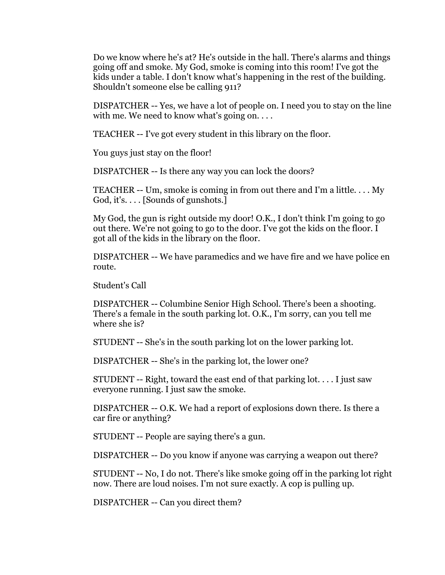Do we know where he's at? He's outside in the hall. There's alarms and things going off and smoke. My God, smoke is coming into this room! I've got the kids under a table. I don't know what's happening in the rest of the building. Shouldn't someone else be calling 911?

DISPATCHER -- Yes, we have a lot of people on. I need you to stay on the line with me. We need to know what's going on....

TEACHER -- I've got every student in this library on the floor.

You guys just stay on the floor!

DISPATCHER -- Is there any way you can lock the doors?

TEACHER -- Um, smoke is coming in from out there and I'm a little. . . . My God, it's. . . . [Sounds of gunshots.]

My God, the gun is right outside my door! O.K., I don't think I'm going to go out there. We're not going to go to the door. I've got the kids on the floor. I got all of the kids in the library on the floor.

DISPATCHER -- We have paramedics and we have fire and we have police en route.

Student's Call

DISPATCHER -- Columbine Senior High School. There's been a shooting. There's a female in the south parking lot. O.K., I'm sorry, can you tell me where she is?

STUDENT -- She's in the south parking lot on the lower parking lot.

DISPATCHER -- She's in the parking lot, the lower one?

STUDENT -- Right, toward the east end of that parking lot. . . . I just saw everyone running. I just saw the smoke.

DISPATCHER -- O.K. We had a report of explosions down there. Is there a car fire or anything?

STUDENT -- People are saying there's a gun.

DISPATCHER -- Do you know if anyone was carrying a weapon out there?

STUDENT -- No, I do not. There's like smoke going off in the parking lot right now. There are loud noises. I'm not sure exactly. A cop is pulling up.

DISPATCHER -- Can you direct them?